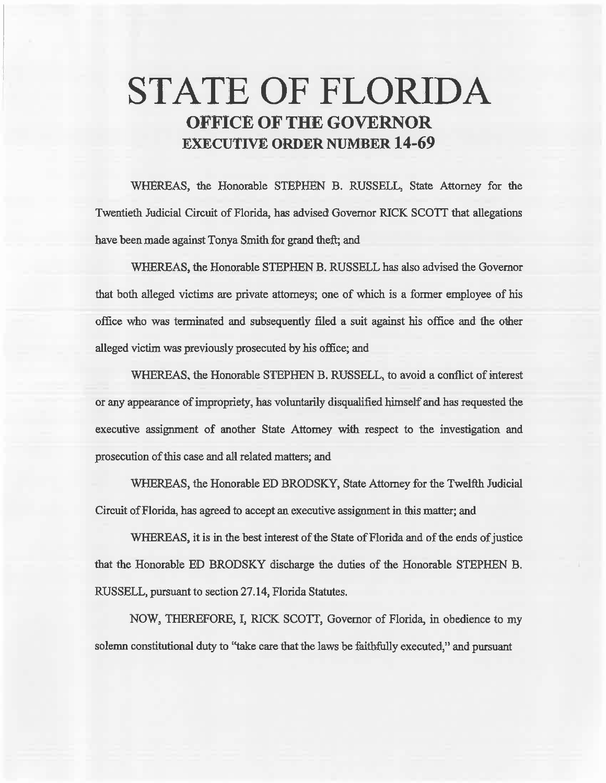# STATE OF FLORIDA OFFICE OF THE GOVERNOR EXECUTIVE ORDER NUMBER 14-69

WHEREAS, the Honorable STEPHEN B. RUSSELL, State Attorney for the Twentieth Judicial Circuit of Florida, has advised Governor RICK SCOTT that allegations have been made against Tonya Smith for grand theft; and

WHEREAS, the Honorable STEPHEN B. RUSSELL has also advised the Governor that both alleged victims are private attorneys; one of which is a former employee of his office who was terminated and subsequently filed a suit against his office and the other alleged victim was previously prosecuted by his office; and

WHEREAS, the Honorable STEPHEN B. RUSSELL, to avoid a conflict of interest or any appearance of impropriety, has voluntarily disqualified himself and has requested the executive assignment of another State Attorney with respect to the investigation and prosecution of this case and all related matters; and

WHEREAS, the Honorable ED BRODSKY, State Attorney for the Twelfth Judicial Circuit of Florida, has agreed to accept an executive assignment in this matter; and

WHEREAS, it is in the best interest of the State of Florida and of the ends of justice that the Honorable ED BRODSKY discharge the duties of the Honorable STEPHEN B. RUSSELL, pursuant to section 27 .14, Florida Statutes.

NOW, THEREFORE, I, RICK SCOTT, Governor of Florida, in obedience to my solemn constitutional duty to ''take care that the laws be faithfully executed," and pursuant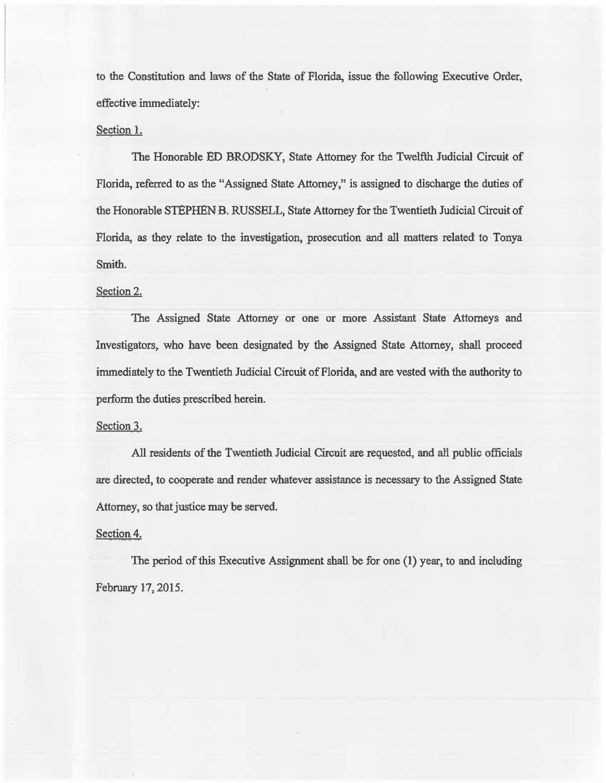to the Constitution and laws of the State of Florida, issue the following Executive Order, effective immediately:

## Section l.

The Honorable ED BRODSKY, State Attorney for the Twelfih. Judicial Circuit of Florida, referred to as the "Assigned State Attorney," is assigned to discharge the duties of the Honorable STEPHEN B. RUSSELL, State Attorney for the Twentieth Judicial Circuit of Florida, as they relate to the investigation, prosecution and all matters related to Tonya Smith.

## Section 2.

The Assigned State Attorney or one or more Assistant State Attorneys and Investigators, who have been designated by the Assigned State Attorney, shall proceed immediately to the Twentieth Judicial Circuit of Florida, and are vested with the authority to perform the duties prescribed herein.

### Section 3.

All residents of the Twentieth Judicial Circuit are requested, and al'l public officials are directed, to cooperate and render whatever assistance is necessary to the Assigned State Attorney, so that justice may be served.

### Section 4.

The period of this Executive Assignment shall be for one (l) year, to and including February 17, 2015.